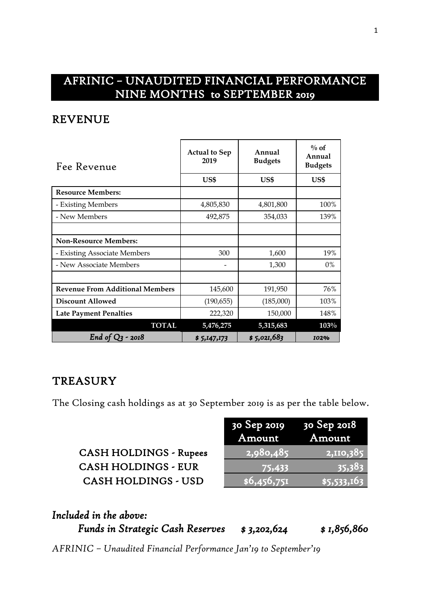## AFRINIC – UNAUDITED FINANCIAL PERFORMANCE NINE MONTHS to SEPTEMBER 2019

#### REVENUE

| Fee Revenue                            | <b>Actual to Sep</b><br>2019 | Annual<br><b>Budgets</b> | $\%$ of<br>Annual<br><b>Budgets</b> |
|----------------------------------------|------------------------------|--------------------------|-------------------------------------|
|                                        | US\$                         | US\$                     | US\$                                |
| <b>Resource Members:</b>               |                              |                          |                                     |
| - Existing Members                     | 4,805,830                    | 4,801,800                | 100%                                |
| - New Members                          | 492,875                      | 354,033                  | 139%                                |
|                                        |                              |                          |                                     |
| <b>Non-Resource Members:</b>           |                              |                          |                                     |
| - Existing Associate Members           | 300                          | 1,600                    | 19%                                 |
| - New Associate Members                |                              | 1,300                    | $0\%$                               |
|                                        |                              |                          |                                     |
| <b>Revenue From Additional Members</b> | 145,600                      | 191,950                  | 76%                                 |
| <b>Discount Allowed</b>                | (190, 655)                   | (185,000)                | 103%                                |
| <b>Late Payment Penalties</b>          | 222,320                      | 150,000                  | 148%                                |
| <b>TOTAL</b>                           | 5,476,275                    | 5,315,683                | 103%                                |
| End of $Q_3$ - 2018                    | \$5,147,173                  | \$5,021,683              | 102%                                |

#### **TREASURY**

The Closing cash holdings as at 30 September 2019 is as per the table below.

| <b>CASH HOLDINGS - Rupees</b> |
|-------------------------------|
| <b>CASH HOLDINGS - EUR</b>    |
| <b>CASH HOLDINGS - USD</b>    |

|                               | 30 Sep 2019<br>Amount | 30 Sep 2018<br>Amount |
|-------------------------------|-----------------------|-----------------------|
| <b>CASH HOLDINGS - Rupees</b> | 2,980,485             | 2,110,385             |
| <b>CASH HOLDINGS - EUR</b>    | 75,433                | 35,383                |
| <b>CASH HOLDINGS - USD</b>    | \$6,456,751           | \$5,533,163           |

| Included in the above:                  |             |              |
|-----------------------------------------|-------------|--------------|
| <b>Funds in Strategic Cash Reserves</b> | \$3,202,624 | \$ 1,856,860 |

*AFRINIC – Unaudited Financial Performance Jan'19 to September'19*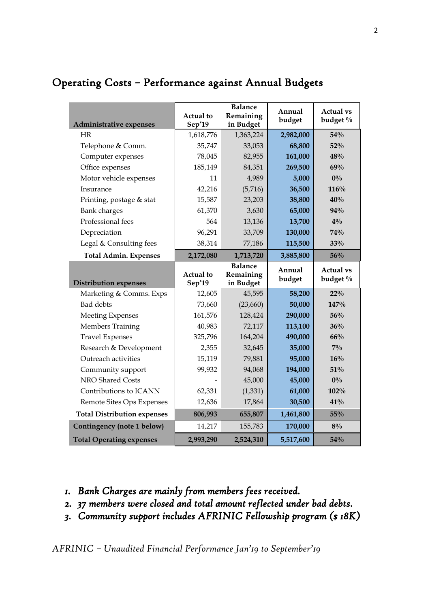| Administrative expenses            | <b>Actual</b> to<br>Sep'19 | <b>Balance</b><br>Remaining<br>in Budget | Annual<br>budget | <b>Actual vs</b><br>budget % |
|------------------------------------|----------------------------|------------------------------------------|------------------|------------------------------|
| HR.                                | 1,618,776                  | 1,363,224                                | 2,982,000        | 54%                          |
| Telephone & Comm.                  | 35,747                     | 33,053                                   | 68,800           | 52%                          |
| Computer expenses                  | 78,045                     | 82,955                                   | 161,000          | 48%                          |
| Office expenses                    | 185,149                    | 84,351                                   | 269,500          | 69%                          |
| Motor vehicle expenses             | 11                         | 4,989                                    | 5,000            | $0\%$                        |
| Insurance                          | 42,216                     | (5,716)                                  | 36,500           | 116%                         |
| Printing, postage & stat           | 15,587                     | 23,203                                   | 38,800           | 40%                          |
| <b>Bank</b> charges                | 61,370                     | 3,630                                    | 65,000           | 94%                          |
| Professional fees                  | 564                        | 13,136                                   | 13,700           | $4\%$                        |
| Depreciation                       | 96,291                     | 33,709                                   | 130,000          | 74%                          |
| Legal & Consulting fees            | 38,314                     | 77,186                                   | 115,500          | 33%                          |
| <b>Total Admin. Expenses</b>       | 2,172,080                  | 1,713,720                                | 3,885,800        | 56%                          |
|                                    | Actual to                  | <b>Balance</b><br>Remaining              | Annual           | <b>Actual vs</b>             |
| <b>Distribution expenses</b>       | Sep'19                     | in Budget                                | budget           | budget %                     |
| Marketing & Comms. Exps            | 12,605                     | 45,595                                   | 58,200           | $22\%$                       |
| <b>Bad</b> debts                   | 73,660                     | (23,660)                                 | 50,000           | 147%                         |
| Meeting Expenses                   | 161,576                    | 128,424                                  | 290,000          | 56%                          |
| Members Training                   | 40,983                     | 72,117                                   | 113,100          | 36%                          |
| <b>Travel Expenses</b>             | 325,796                    | 164,204                                  | 490,000          | 66%                          |
| Research & Development             | 2,355                      | 32,645                                   | 35,000           | $7\%$                        |
| Outreach activities                | 15,119                     | 79,881                                   | 95,000           | 16%                          |
| Community support                  | 99,932                     | 94,068                                   | 194,000          | 51%                          |
| NRO Shared Costs                   |                            | 45,000                                   | 45,000           | $0\%$                        |
| Contributions to ICANN             | 62,331                     | (1, 331)                                 | 61,000           | 102%                         |
| Remote Sites Ops Expenses          | 12,636                     | 17,864                                   | 30,500           | 41%                          |
| <b>Total Distribution expenses</b> | 806,993                    | 655,807                                  | 1,461,800        | 55%                          |
| Contingency (note 1 below)         | 14,217                     | 155,783                                  | 170,000          | $8\%$                        |

#### Operating Costs – Performance against Annual Budgets

- *1. Bank Charges are mainly from members fees received.*
- *2. 37 members were closed and total amount reflected under bad debts.*
- *3. Community support includes AFRINIC Fellowship program (\$ 18K)*

*AFRINIC – Unaudited Financial Performance Jan'19 to September'19*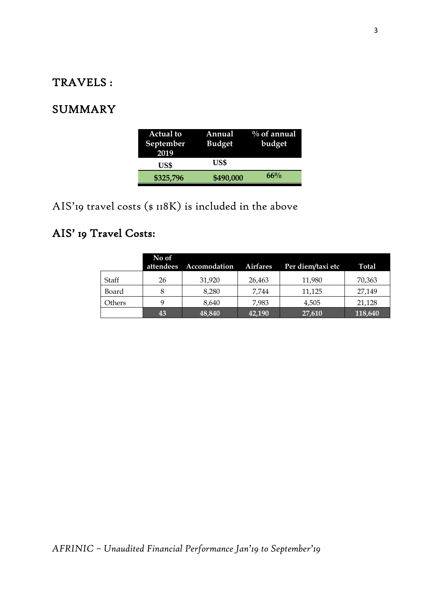### TRAVELS :

### SUMMARY

| <b>Actual to</b><br>September<br>2019 | Annual<br><b>Budget</b> | $\%$ of annual<br>budget |
|---------------------------------------|-------------------------|--------------------------|
| US\$                                  | US\$                    |                          |
| \$325,796                             | \$490,000               | $66\%$                   |

AIS'19 travel costs (\$ 118K) is included in the above

# AIS' 19 Travel Costs:

|        | No of | attendees Accomodation | <b>Airfares</b> | Per diem/taxi etc | <b>Total</b> |
|--------|-------|------------------------|-----------------|-------------------|--------------|
| Staff  | 26    | 31,920                 | 26,463          | 11,980            | 70,363       |
| Board  |       | 8.280                  | 7,744           | 11,125            | 27,149       |
| Others |       | 8.640                  | 7.983           | 4,505             | 21,128       |
|        | 43    | 48,840                 | 42,190          | 27,610            | 118,640      |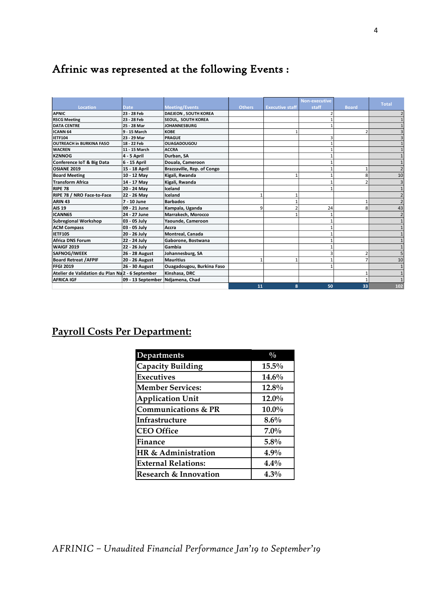# Afrinic was represented at the following Events :

|                                                  |                   |                             |               |                        | <b>Non-executive</b> |                |                 |
|--------------------------------------------------|-------------------|-----------------------------|---------------|------------------------|----------------------|----------------|-----------------|
| Location                                         | <b>Date</b>       | <b>Meeting/Events</b>       | <b>Others</b> | <b>Executive staff</b> | staff                | <b>Board</b>   | <b>Total</b>    |
| <b>APNIC</b>                                     | 23 - 28 Feb       | <b>DAEJEON, SOUTH KOREA</b> |               |                        |                      |                |                 |
| <b>RSCG Meeting</b>                              | 23 - 28 Feb       | SEOUL, SOUTH KOREA          |               |                        |                      |                |                 |
| <b>DATA CENTRE</b>                               | 25 - 28 Mar       | <b>JOHANNESBURG</b>         |               |                        |                      |                |                 |
| ICANN <sub>64</sub>                              | 9 - 15 March      | <b>KOBE</b>                 |               |                        |                      | $\overline{2}$ |                 |
| <b>IETF104</b>                                   | 23 - 29 Mar       | <b>PRAGUE</b>               |               |                        | 3                    |                |                 |
| <b>OUTREACH in BURKINA FASO</b>                  | 18 - 22 Feb       | <b>OUAGADOUGOU</b>          |               |                        |                      |                |                 |
| <b>WACREN</b>                                    | 11 - 15 March     | <b>ACCRA</b>                |               |                        |                      |                |                 |
| <b>KZNNOG</b>                                    | 4 - 5 April       | Durban, SA                  |               |                        |                      |                |                 |
| Conference IoT & Big Data                        | 6 - 15 April      | Douala, Cameroon            |               |                        |                      |                |                 |
| OSIANE 2019                                      | 15 - 18 April     | Brazzaville, Rep. of Congo  |               |                        |                      |                |                 |
| <b>Board Meeting</b>                             | 10 - 12 May       | Kigali, Rwanda              |               |                        |                      | 8              | 10              |
| <b>Transform Africa</b>                          | 14 - 17 May       | Kigali, Rwanda              |               |                        |                      | $\mathcal{P}$  |                 |
| <b>RIPE 78</b>                                   | 20 - 24 May       | Iceland                     |               |                        |                      |                |                 |
| RIPE 78 / NRO Face-to-Face                       | 22 - 26 May       | Iceland                     |               |                        |                      |                |                 |
| ARIN <sub>43</sub>                               | 7 - 10 June       | <b>Barbados</b>             |               |                        |                      |                |                 |
| AIS <sub>19</sub>                                | 09 - 21 June      | Kampala, Uganda             | 9             |                        | 24                   | 8              | 43              |
| ICANN65                                          | 24 - 27 June      | Marrakech, Morocco          |               |                        |                      |                |                 |
| <b>Subregional Workshop</b>                      | 03 - 05 July      | Yaounde, Cameroon           |               |                        |                      |                |                 |
| <b>ACM Compass</b>                               | 03 - 05 July      | Accra                       |               |                        |                      |                |                 |
| <b>IETF105</b>                                   | 20 - 26 July      | <b>Montreal, Canada</b>     |               |                        |                      |                |                 |
| Africa DNS Forum                                 | 22 - 24 July      | Gaborone, Bostwana          |               |                        |                      |                |                 |
| <b>WAIGF 2019</b>                                | 22 - 26 July      | Gambia                      |               |                        |                      |                |                 |
| <b>SAFNOG/IWEEK</b>                              | 26 - 28 August    | Johannesburg, SA            |               |                        |                      | 2              |                 |
| <b>Board Retreat / AFPIF</b>                     | 20 - 26 August    | Mauritius                   |               |                        |                      | 7              | 10 <sup>1</sup> |
| <b>FFGI 2019</b>                                 | 26 - 30 August    | Ouagadougou, Burkina Faso   |               |                        |                      |                |                 |
| Atelier de Validation du Plan Na 2 - 6 September |                   | Kinshasa, DRC               |               |                        |                      |                |                 |
| <b>AFRICA IGF</b>                                | 09 - 13 September | Ndjamena, Chad              |               |                        |                      |                |                 |
|                                                  |                   |                             | 11            | 8                      | 50                   | 33             | 102             |

## **Payroll Costs Per Department:**

| <b>Departments</b>               | $\frac{0}{0}$ |
|----------------------------------|---------------|
| <b>Capacity Building</b>         | $15.5\%$      |
| <b>Executives</b>                | $14.6\%$      |
| <b>Member Services:</b>          | 12.8%         |
| <b>Application Unit</b>          | $12.0\%$      |
| <b>Communications &amp; PR</b>   | $10.0\%$      |
| Infrastructure                   | $8.6\%$       |
| <b>CEO</b> Office                | $7.0\%$       |
| Finance                          | 5.8%          |
| HR & Administration              | $4.9\%$       |
| <b>External Relations:</b>       | $4.4\%$       |
| <b>Research &amp; Innovation</b> | $4.3\%$       |

*AFRINIC – Unaudited Financial Performance Jan'19 to September'19*